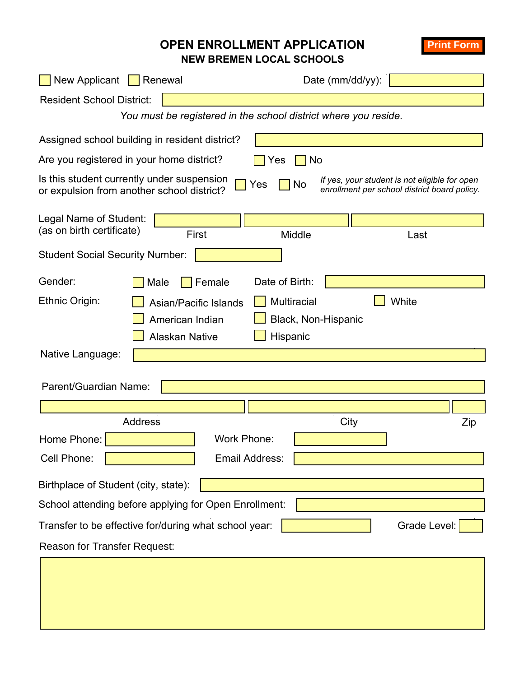## **OPEN ENROLLMENT APPLICATION NEW BREMEN LOCAL SCHOOLS**

**Print Form**

New Applicant  $\Box$  Renewal Date (mm/dd/yy): Resident School District: *You must be registered in the school district where you reside.*  Are you registered in your home district?  $\Box$  Yes  $\Box$  No Assigned school building in resident district? Legal Name of Student: (as on birth certificate) Trinst Middle Music Middle Last Student Social Security Number: Gender:  $\Box$  Male  $\Box$  Female Date of Birth: Ethnic Origin:  $\Box$  Asian/Pacific Islands  $\Box$  Multiracial  $\Box$  White American Indian **Black, Non-Hispanic** Alaskan Native **Hispanic** Native Language: Parent/Guardian Name: Address Zip Home Phone: Work Phone: Cell Phone: **Example 2** Email Address: Birthplace of Student (city, state): School attending before applying for Open Enrollment: Transfer to be effective for/during what school year:  $\vert \cdot \vert$  Grade Level: Grade Level: Reason for Transfer Request: **City** Is this student currently under suspension Is this student currently under suspension  $\Box$  Yes  $\Box$  No *If yes, your student is not eligible for open* or expulsion from another school district? *enrollment per school district board policy.*